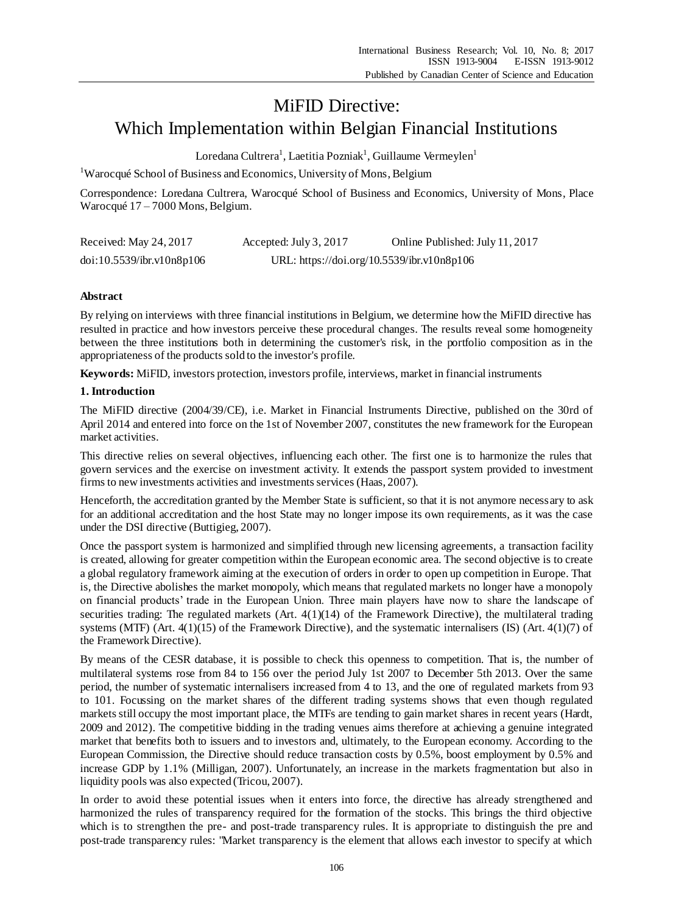# MiFID Directive: Which Implementation within Belgian Financial Institutions

Loredana Cultrera<sup>1</sup>, Laetitia Pozniak<sup>1</sup>, Guillaume Vermeylen<sup>1</sup>

<sup>1</sup>Warocqué School of Business and Economics, University of Mons, Belgium

Correspondence: Loredana Cultrera, Warocqué School of Business and Economics, University of Mons, Place Warocqué 17 – 7000 Mons, Belgium.

| Received: May 24, 2017    | Accepted: July 3, 2017                     | Online Published: July 11, 2017 |
|---------------------------|--------------------------------------------|---------------------------------|
| doi:10.5539/ibr.v10n8p106 | URL: https://doi.org/10.5539/ibr.v10n8p106 |                                 |

## **Abstract**

By relying on interviews with three financial institutions in Belgium, we determine how the MiFID directive has resulted in practice and how investors perceive these procedural changes. The results reveal some homogeneity between the three institutions both in determining the customer's risk, in the portfolio composition as in the appropriateness of the products sold to the investor's profile.

**Keywords:** MiFID, investors protection, investors profile, interviews, market in financial instruments

## **1. Introduction**

The MiFID directive (2004/39/CE), i.e. Market in Financial Instruments Directive, published on the 30rd of April 2014 and entered into force on the 1st of November 2007, constitutes the new framework for the European market activities.

This directive relies on several objectives, influencing each other. The first one is to harmonize the rules that govern services and the exercise on investment activity. It extends the passport system provided to investment firms to new investments activities and investments services (Haas, 2007).

Henceforth, the accreditation granted by the Member State is sufficient, so that it is not anymore necessary to ask for an additional accreditation and the host State may no longer impose its own requirements, as it was the case under the DSI directive (Buttigieg, 2007).

Once the passport system is harmonized and simplified through new licensing agreements, a transaction facility is created, allowing for greater competition within the European economic area. The second objective is to create a global regulatory framework aiming at the execution of orders in order to open up competition in Europe. That is, the Directive abolishes the market monopoly, which means that regulated markets no longer have a monopoly on financial products' trade in the European Union. Three main players have now to share the landscape of securities trading: The regulated markets (Art. 4(1)(14) of the Framework Directive), the multilateral trading systems (MTF) (Art. 4(1)(15) of the Framework Directive), and the systematic internalisers (IS) (Art. 4(1)(7) of the Framework Directive).

By means of the CESR database, it is possible to check this openness to competition. That is, the number of multilateral systems rose from 84 to 156 over the period July 1st 2007 to December 5th 2013. Over the same period, the number of systematic internalisers increased from 4 to 13, and the one of regulated markets from 93 to 101. Focussing on the market shares of the different trading systems shows that even though regulated markets still occupy the most important place, the MTFs are tending to gain market shares in recent years (Hardt, 2009 and 2012). The competitive bidding in the trading venues aims therefore at achieving a genuine integrated market that benefits both to issuers and to investors and, ultimately, to the European economy. According to the European Commission, the Directive should reduce transaction costs by 0.5%, boost employment by 0.5% and increase GDP by 1.1% (Milligan, 2007). Unfortunately, an increase in the markets fragmentation but also in liquidity pools was also expected (Tricou, 2007).

In order to avoid these potential issues when it enters into force, the directive has already strengthened and harmonized the rules of transparency required for the formation of the stocks. This brings the third objective which is to strengthen the pre- and post-trade transparency rules. It is appropriate to distinguish the pre and post-trade transparency rules: "Market transparency is the element that allows each investor to specify at which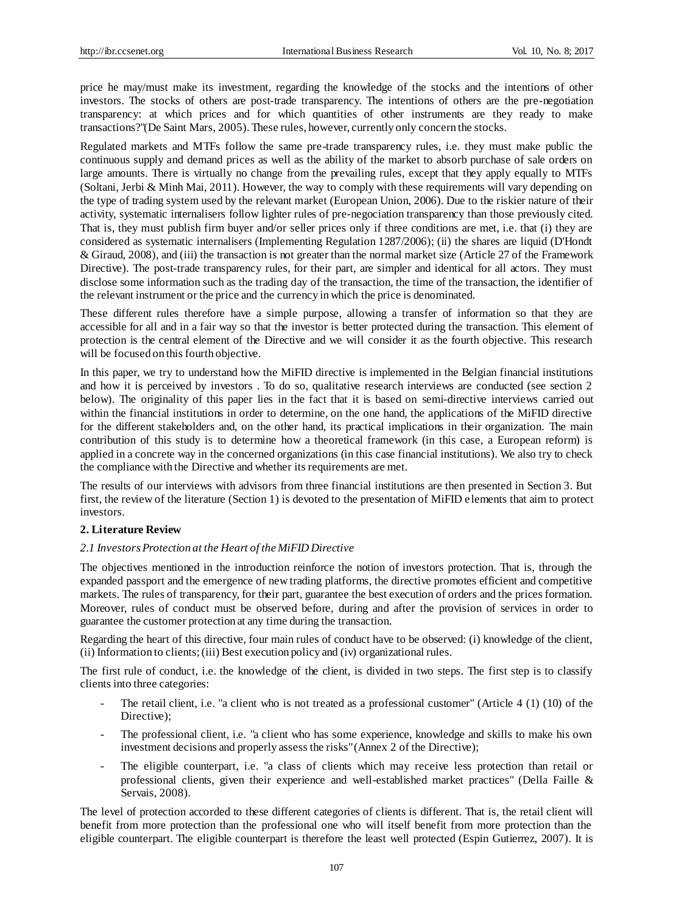price he may/must make its investment, regarding the knowledge of the stocks and the intentions of other investors. The stocks of others are post-trade transparency. The intentions of others are the pre-negotiation transparency: at which prices and for which quantities of other instruments are they ready to make transactions?"(De Saint Mars, 2005). These rules, however, currently only concern the stocks.

Regulated markets and MTFs follow the same pre-trade transparency rules, i.e. they must make public the continuous supply and demand prices as well as the ability of the market to absorb purchase of sale orders on large amounts. There is virtually no change from the prevailing rules, except that they apply equally to MTFs (Soltani, Jerbi & Minh Mai, 2011). However, the way to comply with these requirements will vary depending on the type of trading system used by the relevant market (European Union, 2006). Due to the riskier nature of their activity, systematic internalisers follow lighter rules of pre-negociation transparency than those previously cited. That is, they must publish firm buyer and/or seller prices only if three conditions are met, i.e. that (i) they are considered as systematic internalisers (Implementing Regulation 1287/2006); (ii) the shares are liquid (D'Hondt & Giraud, 2008), and (iii) the transaction is not greater than the normal market size (Article 27 of the Framework Directive). The post-trade transparency rules, for their part, are simpler and identical for all actors. They must disclose some information such as the trading day of the transaction, the time of the transaction, the identifier of the relevant instrument or the price and the currency in which the price is denominated.

These different rules therefore have a simple purpose, allowing a transfer of information so that they are accessible for all and in a fair way so that the investor is better protected during the transaction. This element of protection is the central element of the Directive and we will consider it as the fourth objective. This research will be focused on this fourth objective.

In this paper, we try to understand how the MiFID directive is implemented in the Belgian financial institutions and how it is perceived by investors . To do so, qualitative research interviews are conducted (see section 2 below). The originality of this paper lies in the fact that it is based on semi-directive interviews carried out within the financial institutions in order to determine, on the one hand, the applications of the MiFID directive for the different stakeholders and, on the other hand, its practical implications in their organization. The main contribution of this study is to determine how a theoretical framework (in this case, a European reform) is applied in a concrete way in the concerned organizations (in this case financial institutions). We also try to check the compliance with the Directive and whether its requirements are met.

The results of our interviews with advisors from three financial institutions are then presented in Section 3. But first, the review of the literature (Section 1) is devoted to the presentation of MiFID elements that aim to protect investors.

#### **2. Literature Review**

#### *2.1 Investors Protection at the Heart of the MiFID Directive*

The objectives mentioned in the introduction reinforce the notion of investors protection. That is, through the expanded passport and the emergence of new trading platforms, the directive promotes efficient and competitive markets. The rules of transparency, for their part, guarantee the best execution of orders and the prices formation. Moreover, rules of conduct must be observed before, during and after the provision of services in order to guarantee the customer protection at any time during the transaction.

Regarding the heart of this directive, four main rules of conduct have to be observed: (i) knowledge of the client, (ii) Information to clients; (iii) Best execution policy and (iv) organizational rules.

The first rule of conduct, i.e. the knowledge of the client, is divided in two steps. The first step is to classify clients into three categories:

- The retail client, i.e. "a client who is not treated as a professional customer" (Article 4 (1) (10) of the Directive):
- The professional client, i.e. "a client who has some experience, knowledge and skills to make his own investment decisions and properly assess the risks" (Annex 2 of the Directive);
- The eligible counterpart, i.e. "a class of clients which may receive less protection than retail or professional clients, given their experience and well-established market practices" (Della Faille & Servais, 2008).

The level of protection accorded to these different categories of clients is different. That is, the retail client will benefit from more protection than the professional one who will itself benefit from more protection than the eligible counterpart. The eligible counterpart is therefore the least well protected (Espin Gutierrez, 2007). It is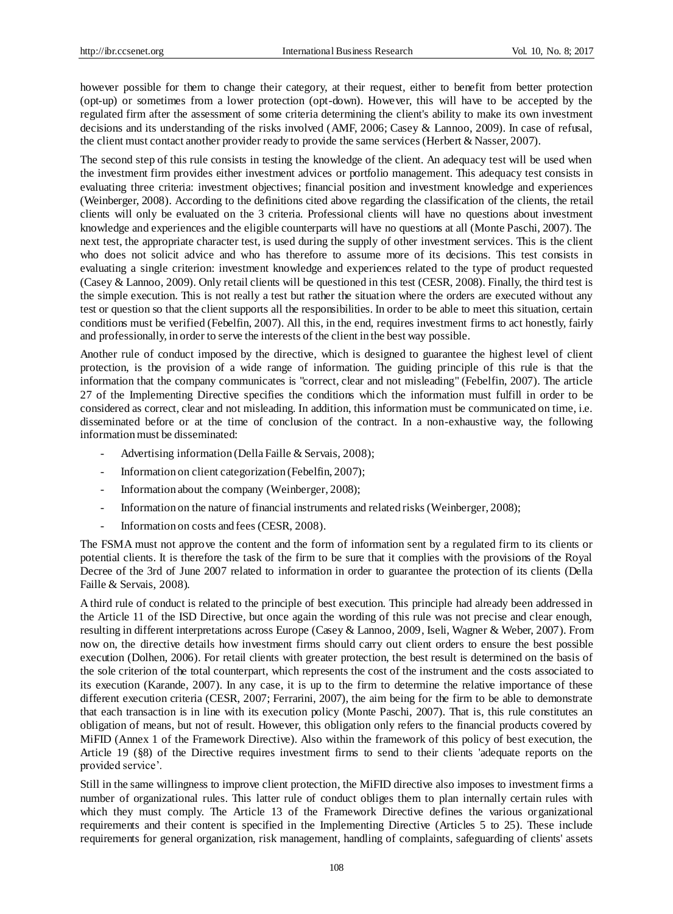however possible for them to change their category, at their request, either to benefit from better protection (opt-up) or sometimes from a lower protection (opt-down). However, this will have to be accepted by the regulated firm after the assessment of some criteria determining the client's ability to make its own investment decisions and its understanding of the risks involved (AMF, 2006; Casey & Lannoo, 2009). In case of refusal, the client must contact another provider ready to provide the same services (Herbert & Nasser, 2007).

The second step of this rule consists in testing the knowledge of the client. An adequacy test will be used when the investment firm provides either investment advices or portfolio management. This adequacy test consists in evaluating three criteria: investment objectives; financial position and investment knowledge and experiences (Weinberger, 2008). According to the definitions cited above regarding the classification of the clients, the retail clients will only be evaluated on the 3 criteria. Professional clients will have no questions about investment knowledge and experiences and the eligible counterparts will have no questions at all (Monte Paschi, 2007). The next test, the appropriate character test, is used during the supply of other investment services. This is the client who does not solicit advice and who has therefore to assume more of its decisions. This test consists in evaluating a single criterion: investment knowledge and experiences related to the type of product requested (Casey & Lannoo, 2009). Only retail clients will be questioned in this test (CESR, 2008). Finally, the third test is the simple execution. This is not really a test but rather the situation where the orders are executed without any test or question so that the client supports all the responsibilities. In order to be able to meet this situation, certain conditions must be verified (Febelfin, 2007). All this, in the end, requires investment firms to act honestly, fairly and professionally, in order to serve the interests of the client in the best way possible.

Another rule of conduct imposed by the directive, which is designed to guarantee the highest level of client protection, is the provision of a wide range of information. The guiding principle of this rule is that the information that the company communicates is "correct, clear and not misleading" (Febelfin, 2007). The article 27 of the Implementing Directive specifies the conditions which the information must fulfill in order to be considered as correct, clear and not misleading. In addition, this information must be communicated on time, i.e. disseminated before or at the time of conclusion of the contract. In a non-exhaustive way, the following information must be disseminated:

- Advertising information (Della Faille & Servais, 2008);
- Information on client categorization (Febelfin, 2007);
- Information about the company (Weinberger, 2008);
- Information on the nature of financial instruments and related risks (Weinberger, 2008);
- Information on costs and fees (CESR, 2008).

The FSMA must not approve the content and the form of information sent by a regulated firm to its clients or potential clients. It is therefore the task of the firm to be sure that it complies with the provisions of the Royal Decree of the 3rd of June 2007 related to information in order to guarantee the protection of its clients (Della Faille & Servais, 2008).

A third rule of conduct is related to the principle of best execution. This principle had already been addressed in the Article 11 of the ISD Directive, but once again the wording of this rule was not precise and clear enough, resulting in different interpretations across Europe (Casey & Lannoo, 2009, Iseli, Wagner & Weber, 2007). From now on, the directive details how investment firms should carry out client orders to ensure the best possible execution (Dolhen, 2006). For retail clients with greater protection, the best result is determined on the basis of the sole criterion of the total counterpart, which represents the cost of the instrument and the costs associated to its execution (Karande, 2007). In any case, it is up to the firm to determine the relative importance of these different execution criteria (CESR, 2007; Ferrarini, 2007), the aim being for the firm to be able to demonstrate that each transaction is in line with its execution policy (Monte Paschi, 2007). That is, this rule constitutes an obligation of means, but not of result. However, this obligation only refers to the financial products covered by MiFID (Annex 1 of the Framework Directive). Also within the framework of this policy of best execution, the Article 19 (§8) of the Directive requires investment firms to send to their clients 'adequate reports on the provided service'.

Still in the same willingness to improve client protection, the MiFID directive also imposes to investment firms a number of organizational rules. This latter rule of conduct obliges them to plan internally certain rules with which they must comply. The Article 13 of the Framework Directive defines the various organizational requirements and their content is specified in the Implementing Directive (Articles 5 to 25). These include requirements for general organization, risk management, handling of complaints, safeguarding of clients' assets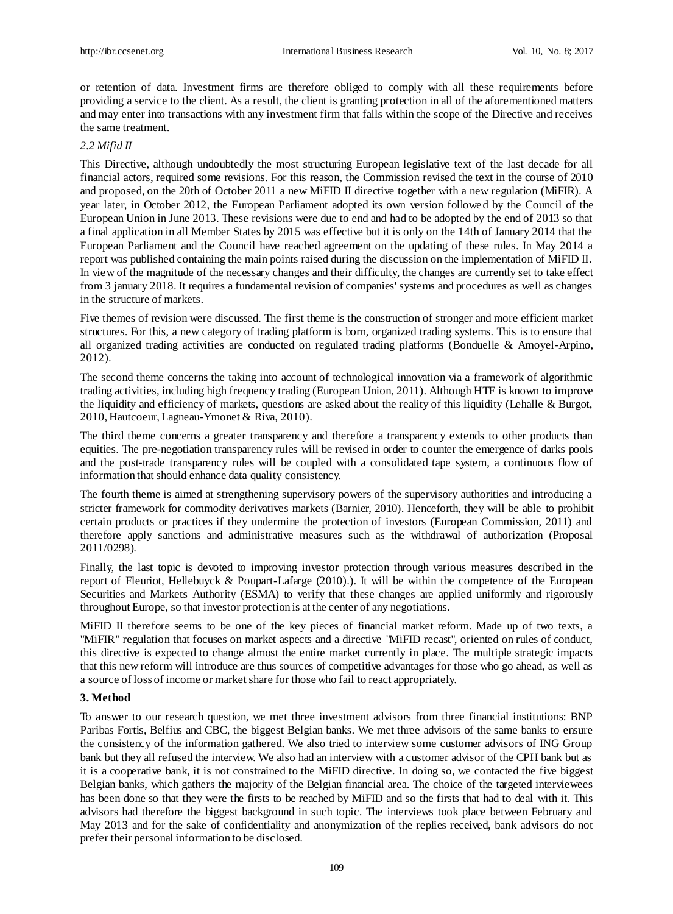or retention of data. Investment firms are therefore obliged to comply with all these requirements before providing a service to the client. As a result, the client is granting protection in all of the aforementioned matters and may enter into transactions with any investment firm that falls within the scope of the Directive and receives the same treatment.

## *2.2 Mifid II*

This Directive, although undoubtedly the most structuring European legislative text of the last decade for all financial actors, required some revisions. For this reason, the Commission revised the text in the course of 2010 and proposed, on the 20th of October 2011 a new MiFID II directive together with a new regulation (MiFIR). A year later, in October 2012, the European Parliament adopted its own version followed by the Council of the European Union in June 2013. These revisions were due to end and had to be adopted by the end of 2013 so that a final application in all Member States by 2015 was effective but it is only on the 14th of January 2014 that the European Parliament and the Council have reached agreement on the updating of these rules. In May 2014 a report was published containing the main points raised during the discussion on the implementation of MiFID II. In view of the magnitude of the necessary changes and their difficulty, the changes are currently set to take effect from 3 january 2018. It requires a fundamental revision of companies' systems and procedures as well as changes in the structure of markets.

Five themes of revision were discussed. The first theme is the construction of stronger and more efficient market structures. For this, a new category of trading platform is born, organized trading systems. This is to ensure that all organized trading activities are conducted on regulated trading platforms (Bonduelle & Amoyel-Arpino, 2012).

The second theme concerns the taking into account of technological innovation via a framework of algorithmic trading activities, including high frequency trading (European Union, 2011). Although HTF is known to improve the liquidity and efficiency of markets, questions are asked about the reality of this liquidity (Lehalle & Burgot, 2010, Hautcoeur, Lagneau-Ymonet & Riva, 2010).

The third theme concerns a greater transparency and therefore a transparency extends to other products than equities. The pre-negotiation transparency rules will be revised in order to counter the emergence of darks pools and the post-trade transparency rules will be coupled with a consolidated tape system, a continuous flow of information that should enhance data quality consistency.

The fourth theme is aimed at strengthening supervisory powers of the supervisory authorities and introducing a stricter framework for commodity derivatives markets (Barnier, 2010). Henceforth, they will be able to prohibit certain products or practices if they undermine the protection of investors (European Commission, 2011) and therefore apply sanctions and administrative measures such as the withdrawal of authorization (Proposal 2011/0298).

Finally, the last topic is devoted to improving investor protection through various measures described in the report of Fleuriot, Hellebuyck & Poupart-Lafarge (2010).). It will be within the competence of the European Securities and Markets Authority (ESMA) to verify that these changes are applied uniformly and rigorously throughout Europe, so that investor protection is at the center of any negotiations.

MiFID II therefore seems to be one of the key pieces of financial market reform. Made up of two texts, a "MiFIR" regulation that focuses on market aspects and a directive "MiFID recast", oriented on rules of conduct, this directive is expected to change almost the entire market currently in place. The multiple strategic impacts that this new reform will introduce are thus sources of competitive advantages for those who go ahead, as well as a source of loss of income or market share for those who fail to react appropriately.

## **3. Method**

To answer to our research question, we met three investment advisors from three financial institutions: BNP Paribas Fortis, Belfius and CBC, the biggest Belgian banks. We met three advisors of the same banks to ensure the consistency of the information gathered. We also tried to interview some customer advisors of ING Group bank but they all refused the interview. We also had an interview with a customer advisor of the CPH bank but as it is a cooperative bank, it is not constrained to the MiFID directive. In doing so, we contacted the five biggest Belgian banks, which gathers the majority of the Belgian financial area. The choice of the targeted interviewees has been done so that they were the firsts to be reached by MiFID and so the firsts that had to deal with it. This advisors had therefore the biggest background in such topic. The interviews took place between February and May 2013 and for the sake of confidentiality and anonymization of the replies received, bank advisors do not prefer their personal information to be disclosed.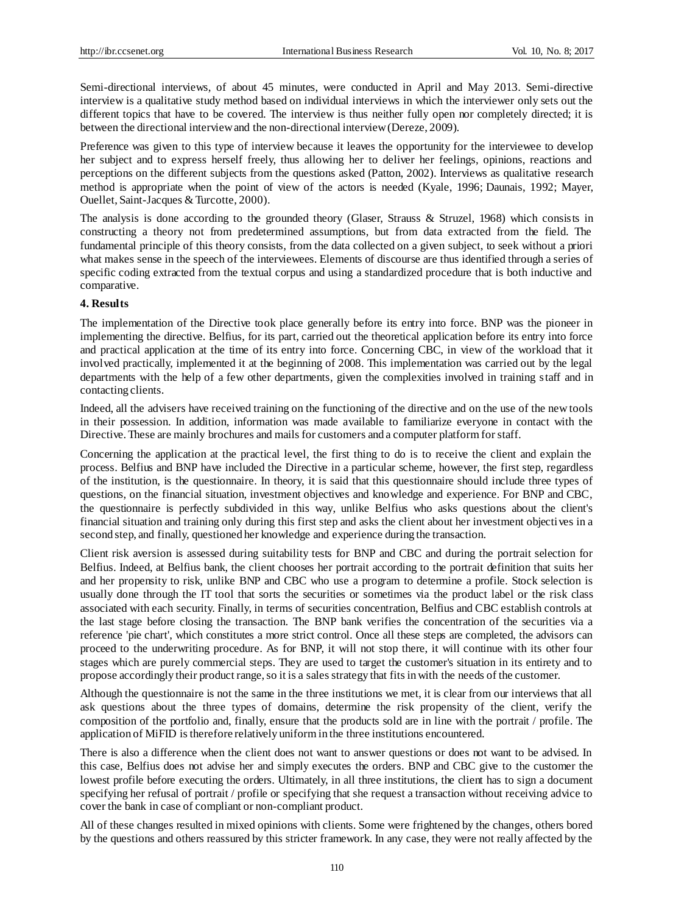Semi-directional interviews, of about 45 minutes, were conducted in April and May 2013. Semi-directive interview is a qualitative study method based on individual interviews in which the interviewer only sets out the different topics that have to be covered. The interview is thus neither fully open nor completely directed; it is between the directional interview and the non-directional interview (Dereze, 2009).

Preference was given to this type of interview because it leaves the opportunity for the interviewee to develop her subject and to express herself freely, thus allowing her to deliver her feelings, opinions, reactions and perceptions on the different subjects from the questions asked (Patton, 2002). Interviews as qualitative research method is appropriate when the point of view of the actors is needed (Kyale, 1996; Daunais, 1992; Mayer, Ouellet, Saint-Jacques & Turcotte, 2000).

The analysis is done according to the grounded theory (Glaser, Strauss & Struzel, 1968) which consists in constructing a theory not from predetermined assumptions, but from data extracted from the field. The fundamental principle of this theory consists, from the data collected on a given subject, to seek without a priori what makes sense in the speech of the interviewees. Elements of discourse are thus identified through a series of specific coding extracted from the textual corpus and using a standardized procedure that is both inductive and comparative.

#### **4. Results**

The implementation of the Directive took place generally before its entry into force. BNP was the pioneer in implementing the directive. Belfius, for its part, carried out the theoretical application before its entry into force and practical application at the time of its entry into force. Concerning CBC, in view of the workload that it involved practically, implemented it at the beginning of 2008. This implementation was carried out by the legal departments with the help of a few other departments, given the complexities involved in training staff and in contacting clients.

Indeed, all the advisers have received training on the functioning of the directive and on the use of the new tools in their possession. In addition, information was made available to familiarize everyone in contact with the Directive. These are mainly brochures and mails for customers and a computer platform for staff.

Concerning the application at the practical level, the first thing to do is to receive the client and explain the process. Belfius and BNP have included the Directive in a particular scheme, however, the first step, regardless of the institution, is the questionnaire. In theory, it is said that this questionnaire should include three types of questions, on the financial situation, investment objectives and knowledge and experience. For BNP and CBC, the questionnaire is perfectly subdivided in this way, unlike Belfius who asks questions about the client's financial situation and training only during this first step and asks the client about her investment objectives in a second step, and finally, questioned her knowledge and experience during the transaction.

Client risk aversion is assessed during suitability tests for BNP and CBC and during the portrait selection for Belfius. Indeed, at Belfius bank, the client chooses her portrait according to the portrait definition that suits her and her propensity to risk, unlike BNP and CBC who use a program to determine a profile. Stock selection is usually done through the IT tool that sorts the securities or sometimes via the product label or the risk class associated with each security. Finally, in terms of securities concentration, Belfius and CBC establish controls at the last stage before closing the transaction. The BNP bank verifies the concentration of the securities via a reference 'pie chart', which constitutes a more strict control. Once all these steps are completed, the advisors can proceed to the underwriting procedure. As for BNP, it will not stop there, it will continue with its other four stages which are purely commercial steps. They are used to target the customer's situation in its entirety and to propose accordingly their product range, so it is a sales strategy that fits in with the needs of the customer.

Although the questionnaire is not the same in the three institutions we met, it is clear from our interviews that all ask questions about the three types of domains, determine the risk propensity of the client, verify the composition of the portfolio and, finally, ensure that the products sold are in line with the portrait / profile. The application of MiFID is therefore relatively uniform in the three institutions encountered.

There is also a difference when the client does not want to answer questions or does not want to be advised. In this case, Belfius does not advise her and simply executes the orders. BNP and CBC give to the customer the lowest profile before executing the orders. Ultimately, in all three institutions, the client has to sign a document specifying her refusal of portrait / profile or specifying that she request a transaction without receiving advice to cover the bank in case of compliant or non-compliant product.

All of these changes resulted in mixed opinions with clients. Some were frightened by the changes, others bored by the questions and others reassured by this stricter framework. In any case, they were not really affected by the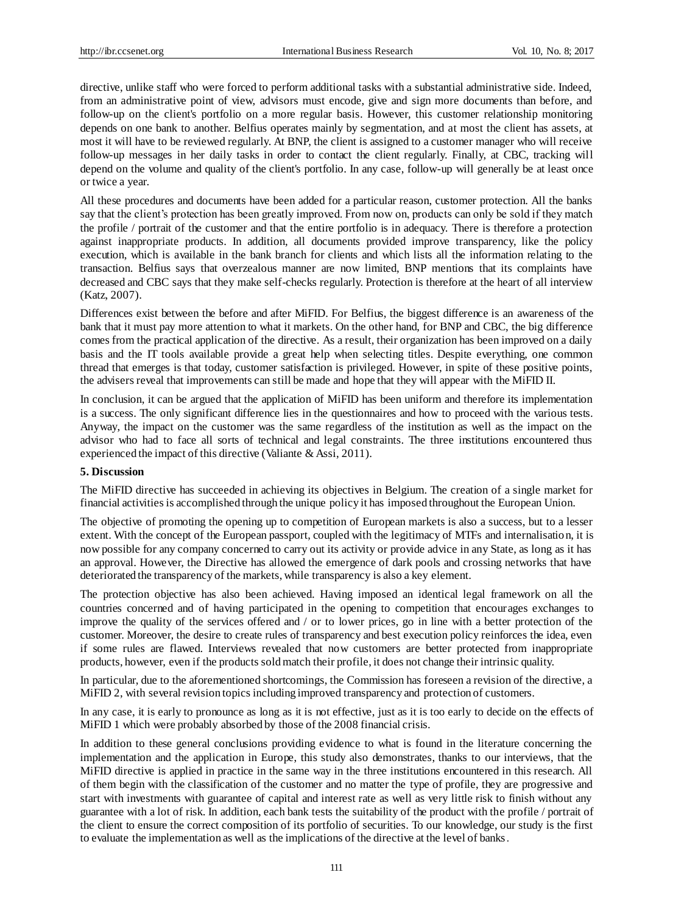directive, unlike staff who were forced to perform additional tasks with a substantial administrative side. Indeed, from an administrative point of view, advisors must encode, give and sign more documents than before, and follow-up on the client's portfolio on a more regular basis. However, this customer relationship monitoring depends on one bank to another. Belfius operates mainly by segmentation, and at most the client has assets, at most it will have to be reviewed regularly. At BNP, the client is assigned to a customer manager who will receive follow-up messages in her daily tasks in order to contact the client regularly. Finally, at CBC, tracking will depend on the volume and quality of the client's portfolio. In any case, follow-up will generally be at least once or twice a year.

All these procedures and documents have been added for a particular reason, customer protection. All the banks say that the client's protection has been greatly improved. From now on, products can only be sold if they match the profile / portrait of the customer and that the entire portfolio is in adequacy. There is therefore a protection against inappropriate products. In addition, all documents provided improve transparency, like the policy execution, which is available in the bank branch for clients and which lists all the information relating to the transaction. Belfius says that overzealous manner are now limited, BNP mentions that its complaints have decreased and CBC says that they make self-checks regularly. Protection is therefore at the heart of all interview (Katz, 2007).

Differences exist between the before and after MiFID. For Belfius, the biggest difference is an awareness of the bank that it must pay more attention to what it markets. On the other hand, for BNP and CBC, the big difference comes from the practical application of the directive. As a result, their organization has been improved on a daily basis and the IT tools available provide a great help when selecting titles. Despite everything, one common thread that emerges is that today, customer satisfaction is privileged. However, in spite of these positive points, the advisers reveal that improvements can still be made and hope that they will appear with the MiFID II.

In conclusion, it can be argued that the application of MiFID has been uniform and therefore its implementation is a success. The only significant difference lies in the questionnaires and how to proceed with the various tests. Anyway, the impact on the customer was the same regardless of the institution as well as the impact on the advisor who had to face all sorts of technical and legal constraints. The three institutions encountered thus experienced the impact of this directive (Valiante & Assi, 2011).

#### **5. Discussion**

The MiFID directive has succeeded in achieving its objectives in Belgium. The creation of a single market for financial activities is accomplished through the unique policy it has imposed throughout the European Union.

The objective of promoting the opening up to competition of European markets is also a success, but to a lesser extent. With the concept of the European passport, coupled with the legitimacy of MTFs and internalisation, it is now possible for any company concerned to carry out its activity or provide advice in any State, as long as it has an approval. However, the Directive has allowed the emergence of dark pools and crossing networks that have deteriorated the transparency of the markets, while transparency is also a key element.

The protection objective has also been achieved. Having imposed an identical legal framework on all the countries concerned and of having participated in the opening to competition that encourages exchanges to improve the quality of the services offered and / or to lower prices, go in line with a better protection of the customer. Moreover, the desire to create rules of transparency and best execution policy reinforces the idea, even if some rules are flawed. Interviews revealed that now customers are better protected from inappropriate products, however, even if the products sold match their profile, it does not change their intrinsic quality.

In particular, due to the aforementioned shortcomings, the Commission has foreseen a revision of the directive, a MiFID 2, with several revision topics including improved transparency and protection of customers.

In any case, it is early to pronounce as long as it is not effective, just as it is too early to decide on the effects of MiFID 1 which were probably absorbed by those of the 2008 financial crisis.

In addition to these general conclusions providing evidence to what is found in the literature concerning the implementation and the application in Europe, this study also demonstrates, thanks to our interviews, that the MiFID directive is applied in practice in the same way in the three institutions encountered in this research. All of them begin with the classification of the customer and no matter the type of profile, they are progressive and start with investments with guarantee of capital and interest rate as well as very little risk to finish without any guarantee with a lot of risk. In addition, each bank tests the suitability of the product with the profile / portrait of the client to ensure the correct composition of its portfolio of securities. To our knowledge, our study is the first to evaluate the implementation as well as the implications of the directive at the level of banks.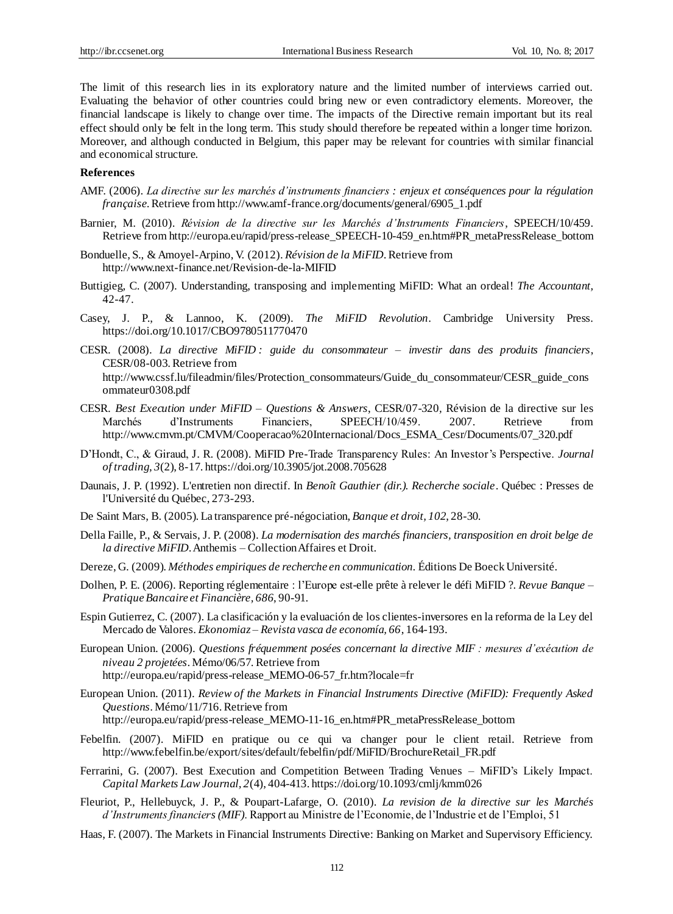The limit of this research lies in its exploratory nature and the limited number of interviews carried out. Evaluating the behavior of other countries could bring new or even contradictory elements. Moreover, the financial landscape is likely to change over time. The impacts of the Directive remain important but its real effect should only be felt in the long term. This study should therefore be repeated within a longer time horizon. Moreover, and although conducted in Belgium, this paper may be relevant for countries with similar financial and economical structure.

#### **References**

- AMF. (2006). *La directive sur les marchés d'instruments financiers : enjeux et conséquences pour la régulation française*. Retrieve fro[m http://www.amf-france.org/documents/general/6905\\_1.pdf](http://www.amf-france.org/documents/general/6905_1.pdf)
- Barnier, M. (2010). *Révision de la directive sur les Marchés d'Instruments Financiers*, SPEECH/10/459. Retrieve from [http://europa.eu/rapid/press-release\\_SPEECH-10-459\\_en.htm#PR\\_metaPressRelease\\_bottom](http://europa.eu/rapid/press-release_SPEECH-10-459_en.htm#PR_metaPressRelease_bottom)
- Bonduelle, S., & Amoyel-Arpino, V. (2012). *Révision de la MiFID*. Retrieve from <http://www.next-finance.net/Revision-de-la-MIFID>
- Buttigieg, C. (2007). Understanding, transposing and implementing MiFID: What an ordeal! *The Accountant,*  42-47.
- Casey, J. P., & Lannoo, K. (2009). *The MiFID Revolution*. Cambridge University Press. https://doi.org/10.1017/CBO9780511770470
- CESR. (2008). *La directive MiFID : guide du consommateur – investir dans des produits financiers*, CESR/08-003. Retrieve from [http://www.cssf.lu/fileadmin/files/Protection\\_consommateurs/Guide\\_du\\_consommateur/CESR\\_guide\\_cons](http://www.cssf.lu/fileadmin/files/Protection_consommateurs/Guide_du_consommateur/CESR_guide_consommateur0308.pdf)
	- [ommateur0308.pdf](http://www.cssf.lu/fileadmin/files/Protection_consommateurs/Guide_du_consommateur/CESR_guide_consommateur0308.pdf)
- CESR. *Best Execution under MiFID – Questions & Answers*, CESR/07-320*,* Révision de la directive sur les Marchés d'Instruments Financiers, SPEECH/10/459. 2007. Retrieve from [http://www.cmvm.pt/CMVM/Cooperacao%20Internacional/Docs\\_ESMA\\_Cesr/Documents/07\\_320.pdf](http://www.cmvm.pt/CMVM/Cooperacao%20Internacional/Docs_ESMA_Cesr/Documents/07_320.pdf)
- D'Hondt, C., & Giraud, J. R. (2008). MiFID Pre-Trade Transparency Rules: An Investor's Perspective. *Journal of trading*, *3*(2), 8-17. https://doi.org/10.3905/jot.2008.705628
- Daunais, J. P. (1992). L'entretien non directif. In *Benoît Gauthier (dir.). Recherche sociale*. Québec : Presses de l'Université du Québec, 273-293.
- De Saint Mars, B. (2005). La transparence pré-négociation, *Banque et droit, 102*, 28-30.
- Della Faille, P., & Servais, J. P. (2008). *La modernisation des marchés financiers, transposition en droit belge de la directive MiFID*. Anthemis – Collection Affaires et Droit.
- Dereze, G. (2009). *Méthodes empiriques de recherche en communication.* Éditions De Boeck Université.
- Dolhen, P. E. (2006). Reporting réglementaire : l'Europe est-elle prête à relever le défi MiFID ?. *Revue Banque – Pratique Bancaire et Financière, 686*, 90-91.
- Espin Gutierrez, C. (2007). La clasificación y la evaluación de los clientes-inversores en la reforma de la Ley del Mercado de Valores. *Ekonomiaz – Revista vasca de economía, 66*, 164-193.
- European Union. (2006). *Questions fréquemment posées concernant la directive MIF : mesures d'exécution de niveau 2 projetées*. Mémo/06/57*.*Retrieve from [http://europa.eu/rapid/press-release\\_MEMO-06-57\\_fr.htm?locale=fr](http://europa.eu/rapid/press-release_MEMO-06-57_fr.htm?locale=fr)
- European Union. (2011). *Review of the Markets in Financial Instruments Directive (MiFID): Frequently Asked Questions*. Mémo/11/716. Retrieve from
	- [http://europa.eu/rapid/press-release\\_MEMO-11-16\\_en.htm#PR\\_metaPressRelease\\_bottom](http://europa.eu/rapid/press-release_MEMO-11-16_en.htm#PR_metaPressRelease_bottom)
- Febelfin. (2007). MiFID en pratique ou ce qui va changer pour le client retail. Retrieve from [http://www.febelfin.be/export/sites/default/febelfin/pdf/MiFID/BrochureRetail\\_FR.pdf](http://www.febelfin.be/export/sites/default/febelfin/pdf/MiFID/BrochureRetail_FR.pdf)
- Ferrarini, G. (2007). Best Execution and Competition Between Trading Venues MiFID's Likely Impact. *Capital Markets Law Journal, 2*(4), 404-413. https://doi.org/10.1093/cmlj/kmm026
- Fleuriot, P., Hellebuyck, J. P., & Poupart-Lafarge, O. (2010). *La revision de la directive sur les Marchés d'Instruments financiers (MIF)*. Rapport au Ministre de l'Economie, de l'Industrie et de l'Emploi, 51
- Haas, F. (2007). The Markets in Financial Instruments Directive: Banking on Market and Supervisory Efficiency.